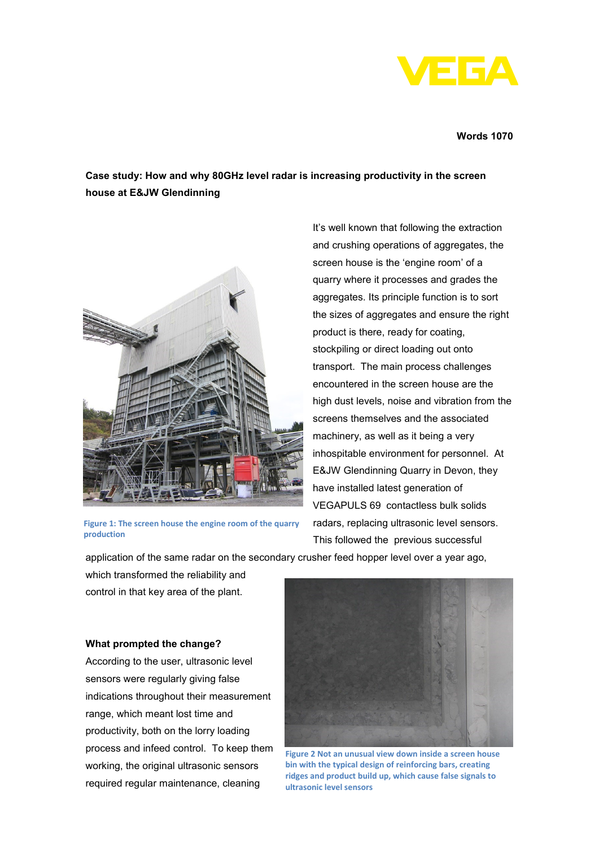

#### **Words 1070**

# **Case study: How and why 80GHz level radar is increasing productivity in the screen house at E&JW Glendinning**



**Figure 1: The screen house the engine room of the quarry production**

It's well known that following the extraction and crushing operations of aggregates, the screen house is the 'engine room' of a quarry where it processes and grades the aggregates. Its principle function is to sort the sizes of aggregates and ensure the right product is there, ready for coating, stockpiling or direct loading out onto transport. The main process challenges encountered in the screen house are the high dust levels, noise and vibration from the screens themselves and the associated machinery, as well as it being a very inhospitable environment for personnel. At E&JW Glendinning Quarry in Devon, they have installed latest generation of VEGAPULS 69 contactless bulk solids radars, replacing ultrasonic level sensors. This followed the previous successful

application of the same radar on the secondary crusher feed hopper level over a year ago,

which transformed the reliability and control in that key area of the plant.

# **What prompted the change?**

According to the user, ultrasonic level sensors were regularly giving false indications throughout their measurement range, which meant lost time and productivity, both on the lorry loading process and infeed control. To keep them working, the original ultrasonic sensors required regular maintenance, cleaning



**Figure 2 Not an unusual view down inside a screen house bin with the typical design of reinforcing bars, creating ridges and product build up, which cause false signals to ultrasonic level sensors**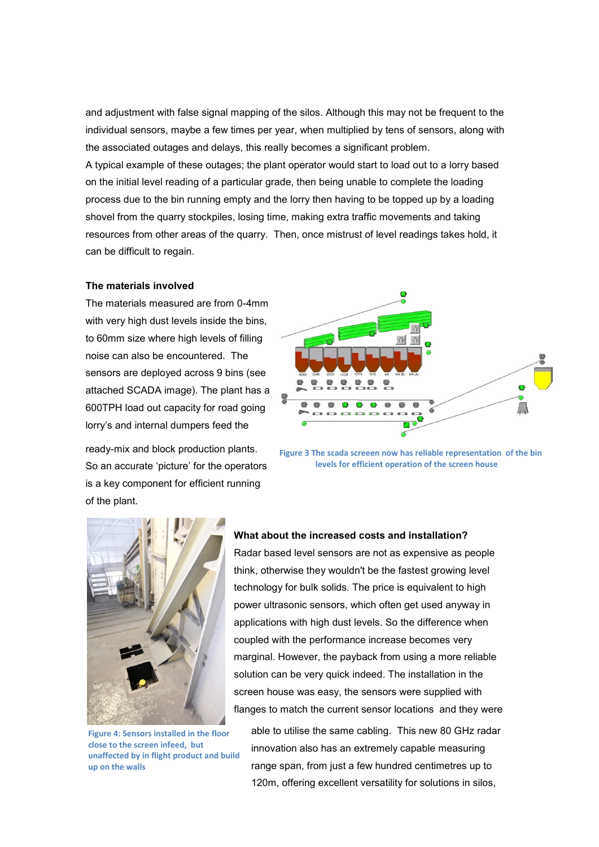and adjustment with false signal mapping of the silos. Although this may not be frequent to the individual sensors, maybe a few times per year, when multiplied by tens of sensors, along with the associated outages and delays, this really becomes a significant problem. A typical example of these outages; the plant operator would start to load out to a lorry based on the initial level reading of a particular grade, then being unable to complete the loading process due to the bin running empty and the lorry then having to be topped up by a loading shovel from the quarry stockpiles, losing time, making extra traffic movements and taking resources from other areas of the quarry. Then, once mistrust of level readings takes hold, it can be difficult to regain.

#### **The materials involved**

The materials measured are from 0-4mm with very high dust levels inside the bins, to 60mm size where high levels of filling noise can also be encountered. The sensors are deployed across 9 bins (see attached SCADA image). The plant has a 600TPH load out capacity for road going lorry's and internal dumpers feed the

ready-mix and block production plants. So an accurate 'picture' for the operators is a key component for efficient running of the plant.



**Figure 3 The scada screeen now has reliable representation of the bin levels for efficient operation of the screen house**



**Figure 4: Sensors installed in the floor close to the screen infeed, but unaffected by in flight product and build up on the walls**

#### **What about the increased costs and installation?**

Radar based level sensors are not as expensive as people think, otherwise they wouldn't be the fastest growing level technology for bulk solids. The price is equivalent to high power ultrasonic sensors, which often get used anyway in applications with high dust levels. So the difference when coupled with the performance increase becomes very marginal. However, the payback from using a more reliable solution can be very quick indeed. The installation in the screen house was easy, the sensors were supplied with flanges to match the current sensor locations and they were

able to utilise the same cabling. This new 80 GHz radar innovation also has an extremely capable measuring range span, from just a few hundred centimetres up to 120m, offering excellent versatility for solutions in silos,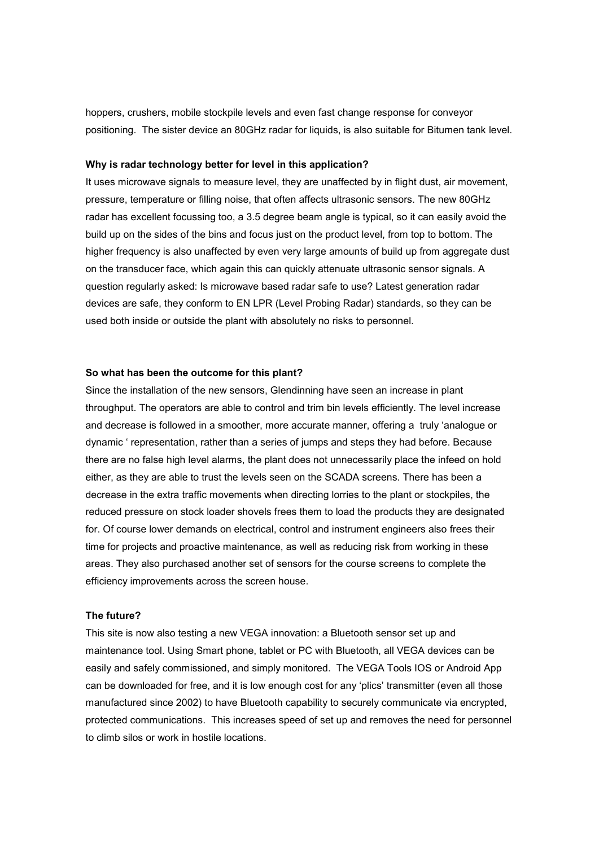hoppers, crushers, mobile stockpile levels and even fast change response for conveyor positioning. The sister device an 80GHz radar for liquids, is also suitable for Bitumen tank level.

## **Why is radar technology better for level in this application?**

It uses microwave signals to measure level, they are unaffected by in flight dust, air movement, pressure, temperature or filling noise, that often affects ultrasonic sensors. The new 80GHz radar has excellent focussing too, a 3.5 degree beam angle is typical, so it can easily avoid the build up on the sides of the bins and focus just on the product level, from top to bottom. The higher frequency is also unaffected by even very large amounts of build up from aggregate dust on the transducer face, which again this can quickly attenuate ultrasonic sensor signals. A question regularly asked: Is microwave based radar safe to use? Latest generation radar devices are safe, they conform to EN LPR (Level Probing Radar) standards, so they can be used both inside or outside the plant with absolutely no risks to personnel.

### **So what has been the outcome for this plant?**

Since the installation of the new sensors, Glendinning have seen an increase in plant throughput. The operators are able to control and trim bin levels efficiently. The level increase and decrease is followed in a smoother, more accurate manner, offering a truly 'analogue or dynamic ' representation, rather than a series of jumps and steps they had before. Because there are no false high level alarms, the plant does not unnecessarily place the infeed on hold either, as they are able to trust the levels seen on the SCADA screens. There has been a decrease in the extra traffic movements when directing lorries to the plant or stockpiles, the reduced pressure on stock loader shovels frees them to load the products they are designated for. Of course lower demands on electrical, control and instrument engineers also frees their time for projects and proactive maintenance, as well as reducing risk from working in these areas. They also purchased another set of sensors for the course screens to complete the efficiency improvements across the screen house.

### **The future?**

This site is now also testing a new VEGA innovation: a Bluetooth sensor set up and maintenance tool. Using Smart phone, tablet or PC with Bluetooth, all VEGA devices can be easily and safely commissioned, and simply monitored. The VEGA Tools IOS or Android App can be downloaded for free, and it is low enough cost for any 'plics' transmitter (even all those manufactured since 2002) to have Bluetooth capability to securely communicate via encrypted, protected communications. This increases speed of set up and removes the need for personnel to climb silos or work in hostile locations.